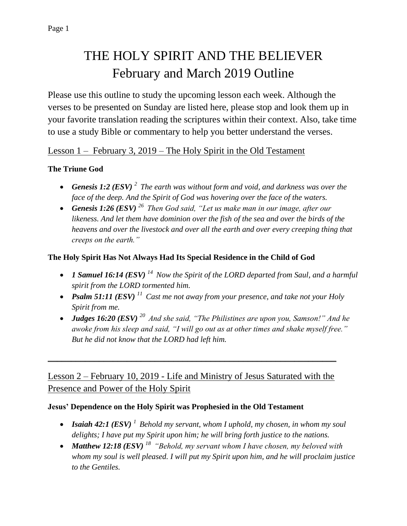# THE HOLY SPIRIT AND THE BELIEVER February and March 2019 Outline

Please use this outline to study the upcoming lesson each week. Although the verses to be presented on Sunday are listed here, please stop and look them up in your favorite translation reading the scriptures within their context. Also, take time to use a study Bible or commentary to help you better understand the verses.

# Lesson 1 – February 3, 2019 – The Holy Spirit in the Old Testament

## **The Triune God**

- *Genesis 1:2 (ESV) <sup>2</sup>The earth was without form and void, and darkness was over the face of the deep. And the Spirit of God was hovering over the face of the waters.*
- *Genesis 1:26 (ESV) <sup>26</sup>Then God said, "Let us make man in our image, after our likeness. And let them have dominion over the fish of the sea and over the birds of the heavens and over the livestock and over all the earth and over every creeping thing that creeps on the earth."*

### **The Holy Spirit Has Not Always Had Its Special Residence in the Child of God**

- *1 Samuel 16:14 (ESV) <sup>14</sup>Now the Spirit of the LORD departed from Saul, and a harmful spirit from the LORD tormented him.*
- *Psalm 51:11 (ESV) <sup>11</sup>Cast me not away from your presence, and take not your Holy Spirit from me.*
- *Judges 16:20 (ESV) <sup>20</sup>And she said, "The Philistines are upon you, Samson!" And he awoke from his sleep and said, "I will go out as at other times and shake myself free." But he did not know that the LORD had left him.*

# Lesson 2 – February 10, 2019 - Life and Ministry of Jesus Saturated with the Presence and Power of the Holy Spirit

\_\_\_\_\_\_\_\_\_\_\_\_\_\_\_\_\_\_\_\_\_\_\_\_\_\_\_\_\_\_\_\_\_\_\_\_\_\_\_\_\_\_\_\_\_\_\_\_\_\_\_\_\_\_\_\_\_\_\_\_\_\_

#### **Jesus' Dependence on the Holy Spirit was Prophesied in the Old Testament**

- *Isaiah 42:1 (ESV) <sup>1</sup>Behold my servant, whom I uphold, my chosen, in whom my soul delights; I have put my Spirit upon him; he will bring forth justice to the nations.*
- *Matthew 12:18 (ESV) <sup>18</sup>"Behold, my servant whom I have chosen, my beloved with whom my soul is well pleased. I will put my Spirit upon him, and he will proclaim justice to the Gentiles.*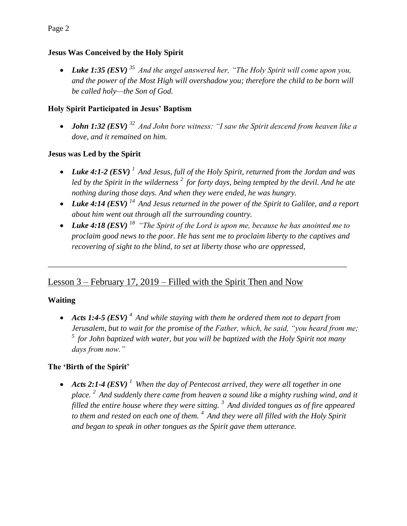## **Jesus Was Conceived by the Holy Spirit**

 *Luke 1:35 (ESV) <sup>35</sup>And the angel answered her, "The Holy Spirit will come upon you, and the power of the Most High will overshadow you; therefore the child to be born will be called holy—the Son of God.*

## **Holy Spirit Participated in Jesus' Baptism**

• *John 1:32 (ESV)*  $32$  *And John bore witness: "I saw the Spirit descend from heaven like a dove, and it remained on him.*

## **Jesus was Led by the Spirit**

- *Luke 4:1-2 (ESV) <sup>1</sup>And Jesus, full of the Holy Spirit, returned from the Jordan and was led by the Spirit in the wilderness <sup>2</sup>for forty days, being tempted by the devil. And he ate nothing during those days. And when they were ended, he was hungry.*
- *Luke 4:14 (ESV) <sup>14</sup>And Jesus returned in the power of the Spirit to Galilee, and a report about him went out through all the surrounding country.*
- *Luke 4:18 (ESV) <sup>18</sup>"The Spirit of the Lord is upon me, because he has anointed me to proclaim good news to the poor. He has sent me to proclaim liberty to the captives and recovering of sight to the blind, to set at liberty those who are oppressed,*

\_\_\_\_\_\_\_\_\_\_\_\_\_\_\_\_\_\_\_\_\_\_\_\_\_\_\_\_\_\_\_\_\_\_\_\_\_\_\_\_\_\_\_\_\_\_\_\_\_\_\_\_\_\_\_\_\_\_\_\_\_\_\_\_\_\_\_\_\_\_\_\_\_\_\_

# Lesson 3 – February 17, 2019 – Filled with the Spirit Then and Now

# **Waiting**

 *Acts 1:4-5 (ESV) <sup>4</sup>And while staying with them he ordered them not to depart from Jerusalem, but to wait for the promise of the Father, which, he said, "you heard from me; <sup>5</sup>for John baptized with water, but you will be baptized with the Holy Spirit not many days from now."*

# **The 'Birth of the Spirit'**

 *Acts 2:1-4 (ESV) <sup>1</sup>When the day of Pentecost arrived, they were all together in one place. <sup>2</sup>And suddenly there came from heaven a sound like a mighty rushing wind, and it filled the entire house where they were sitting. <sup>3</sup>And divided tongues as of fire appeared to them and rested on each one of them. <sup>4</sup>And they were all filled with the Holy Spirit and began to speak in other tongues as the Spirit gave them utterance.*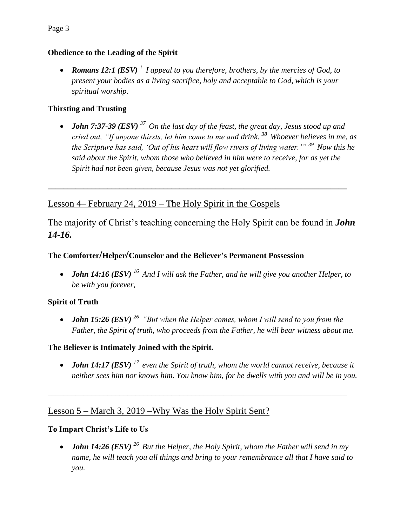## **Obedience to the Leading of the Spirit**

 *Romans 12:1 (ESV) <sup>1</sup>I appeal to you therefore, brothers, by the mercies of God, to present your bodies as a living sacrifice, holy and acceptable to God, which is your spiritual worship.* 

## **Thirsting and Trusting**

 *John 7:37-39 (ESV) <sup>37</sup>On the last day of the feast, the great day, Jesus stood up and cried out, "If anyone thirsts, let him come to me and drink. <sup>38</sup>Whoever believes in me, as the Scripture has said, 'Out of his heart will flow rivers of living water.'" <sup>39</sup>Now this he said about the Spirit, whom those who believed in him were to receive, for as yet the Spirit had not been given, because Jesus was not yet glorified.* 

# Lesson 4– February 24, 2019 – The Holy Spirit in the Gospels

The majority of Christ's teaching concerning the Holy Spirit can be found in *John 14-16.*

 $\_$  , and the set of the set of the set of the set of the set of the set of the set of the set of the set of the set of the set of the set of the set of the set of the set of the set of the set of the set of the set of th

# **The Comforter/Helper/Counselor and the Believer's Permanent Possession**

• *John 14:16 (ESV)* <sup>16</sup> And I will ask the Father, and he will give you another Helper, to *be with you forever,*

# **Spirit of Truth**

 *John 15:26 (ESV) <sup>26</sup>"But when the Helper comes, whom I will send to you from the Father, the Spirit of truth, who proceeds from the Father, he will bear witness about me.*

**The Believer is Intimately Joined with the Spirit.**

 *John 14:17 (ESV) <sup>17</sup>even the Spirit of truth, whom the world cannot receive, because it neither sees him nor knows him. You know him, for he dwells with you and will be in you.* 

\_\_\_\_\_\_\_\_\_\_\_\_\_\_\_\_\_\_\_\_\_\_\_\_\_\_\_\_\_\_\_\_\_\_\_\_\_\_\_\_\_\_\_\_\_\_\_\_\_\_\_\_\_\_\_\_\_\_\_\_\_\_\_\_\_\_\_\_\_\_\_\_\_\_\_

# Lesson 5 – March 3, 2019 –Why Was the Holy Spirit Sent?

# **To Impart Christ's Life to Us**

• *John 14:26 (ESV)*  $^{26}$  *But the Helper, the Holy Spirit, whom the Father will send in my name, he will teach you all things and bring to your remembrance all that I have said to you.*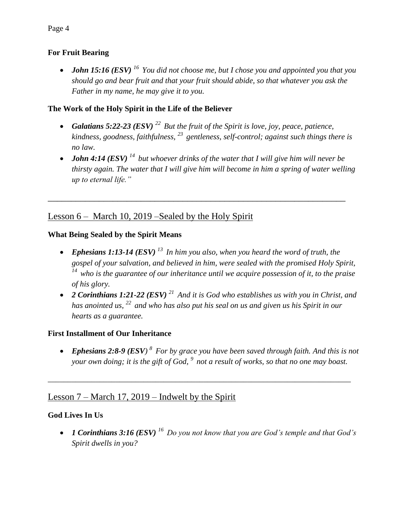#### **For Fruit Bearing**

 *John 15:16 (ESV) <sup>16</sup>You did not choose me, but I chose you and appointed you that you should go and bear fruit and that your fruit should abide, so that whatever you ask the Father in my name, he may give it to you.*

#### **The Work of the Holy Spirit in the Life of the Believer**

- *Galatians 5:22-23 (ESV) <sup>22</sup>But the fruit of the Spirit is love, joy, peace, patience, kindness, goodness, faithfulness, <sup>23</sup>gentleness, self-control; against such things there is no law.*
- *John 4:14 (ESV) <sup>14</sup>but whoever drinks of the water that I will give him will never be thirsty again. The water that I will give him will become in him a spring of water welling up to eternal life."*

\_\_\_\_\_\_\_\_\_\_\_\_\_\_\_\_\_\_\_\_\_\_\_\_\_\_\_\_\_\_\_\_\_\_\_\_\_\_\_\_\_\_\_\_\_\_\_\_\_\_\_\_\_\_\_\_\_\_\_\_\_\_\_\_

# Lesson 6 – March 10, 2019 –Sealed by the Holy Spirit

#### **What Being Sealed by the Spirit Means**

- *Ephesians 1:13-14 (ESV) <sup>13</sup>In him you also, when you heard the word of truth, the gospel of your salvation, and believed in him, were sealed with the promised Holy Spirit, <sup>14</sup>who is the guarantee of our inheritance until we acquire possession of it, to the praise of his glory.*
- *2 Corinthians 1:21-22 (ESV) <sup>21</sup>And it is God who establishes us with you in Christ, and has anointed us, <sup>22</sup>and who has also put his seal on us and given us his Spirit in our hearts as a guarantee.*

#### **First Installment of Our Inheritance**

 *Ephesians 2:8-9 (ESV) <sup>8</sup>For by grace you have been saved through faith. And this is not your own doing; it is the gift of God, <sup>9</sup>not a result of works, so that no one may boast.*

*\_\_\_\_\_\_\_\_\_\_\_\_\_\_\_\_\_\_\_\_\_\_\_\_\_\_\_\_\_\_\_\_\_\_\_\_\_\_\_\_\_\_\_\_\_\_\_\_\_\_\_\_\_\_\_\_\_\_\_\_\_\_\_\_\_\_\_\_\_\_\_\_\_\_\_\_*

## Lesson 7 – March 17, 2019 – Indwelt by the Spirit

#### **God Lives In Us**

 *1 Corinthians 3:16 (ESV) <sup>16</sup>Do you not know that you are God's temple and that God's Spirit dwells in you?*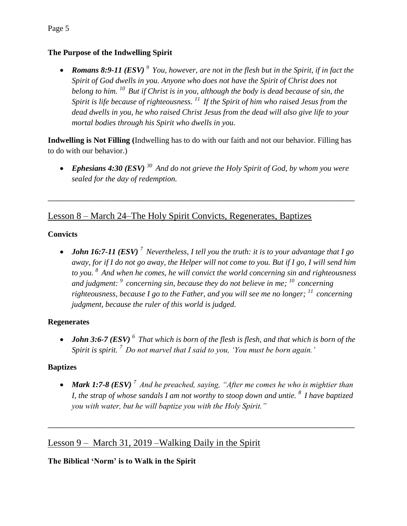#### **The Purpose of the Indwelling Spirit**

 *Romans 8:9-11 (ESV) <sup>9</sup>You, however, are not in the flesh but in the Spirit, if in fact the Spirit of God dwells in you. Anyone who does not have the Spirit of Christ does not belong to him. <sup>10</sup>But if Christ is in you, although the body is dead because of sin, the Spirit is life because of righteousness. <sup>11</sup>If the Spirit of him who raised Jesus from the dead dwells in you, he who raised Christ Jesus from the dead will also give life to your mortal bodies through his Spirit who dwells in you.*

**Indwelling is Not Filling (**Indwelling has to do with our faith and not our behavior. Filling has to do with our behavior.)

 *Ephesians 4:30 (ESV) <sup>30</sup>And do not grieve the Holy Spirit of God, by whom you were sealed for the day of redemption.*

\_\_\_\_\_\_\_\_\_\_\_\_\_\_\_\_\_\_\_\_\_\_\_\_\_\_\_\_\_\_\_\_\_\_\_\_\_\_\_\_\_\_\_\_\_\_\_\_\_\_\_\_\_\_\_\_\_\_\_\_\_\_\_\_\_\_

## Lesson 8 – March 24–The Holy Spirit Convicts, Regenerates, Baptizes

#### **Convicts**

 *John 16:7-11 (ESV) <sup>7</sup>Nevertheless, I tell you the truth: it is to your advantage that I go away, for if I do not go away, the Helper will not come to you. But if I go, I will send him to you. <sup>8</sup>And when he comes, he will convict the world concerning sin and righteousness and judgment: <sup>9</sup>concerning sin, because they do not believe in me; <sup>10</sup>concerning righteousness, because I go to the Father, and you will see me no longer; <sup>11</sup>concerning judgment, because the ruler of this world is judged.* 

#### **Regenerates**

 *John 3:6-7 (ESV) <sup>6</sup>That which is born of the flesh is flesh, and that which is born of the Spirit is spirit. <sup>7</sup>Do not marvel that I said to you, 'You must be born again.'*

#### **Baptizes**

 *Mark 1:7-8 (ESV) <sup>7</sup>And he preached, saying, "After me comes he who is mightier than I, the strap of whose sandals I am not worthy to stoop down and untie. <sup>8</sup>I have baptized you with water, but he will baptize you with the Holy Spirit."*

 $\overline{a_1}$  ,  $\overline{a_2}$  ,  $\overline{a_3}$  ,  $\overline{a_4}$  ,  $\overline{a_5}$  ,  $\overline{a_6}$  ,  $\overline{a_7}$  ,  $\overline{a_8}$  ,  $\overline{a_9}$  ,  $\overline{a_9}$  ,  $\overline{a_9}$  ,  $\overline{a_9}$  ,  $\overline{a_9}$  ,  $\overline{a_9}$  ,  $\overline{a_9}$  ,  $\overline{a_9}$  ,  $\overline{a_9}$  ,

## Lesson 9 – March 31, 2019 – Walking Daily in the Spirit

#### **The Biblical 'Norm' is to Walk in the Spirit**